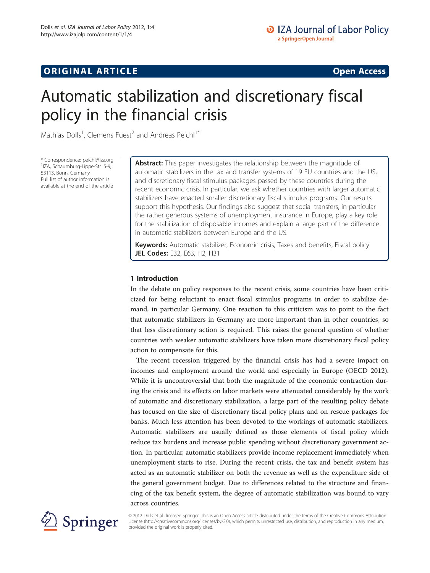# **ORIGINAL ARTICLE CONSERVANCE CONSERVANCE CONSERVANCE CONSERVANCE CONSERVANCE CONSERVANCE CONSERVANCE CONSERVANCE**

# Automatic stabilization and discretionary fiscal policy in the financial crisis

Mathias Dolls<sup>1</sup>, Clemens Fuest<sup>2</sup> and Andreas Peichl<sup>1\*</sup>

\* Correspondence: [peichl@iza.org](mailto:peichl@iza.org) <sup>1</sup> <sup>1</sup>IZA, Schaumburg-Lippe-Str. 5-9, 53113, Bonn, Germany Full list of author information is available at the end of the article

Abstract: This paper investigates the relationship between the magnitude of automatic stabilizers in the tax and transfer systems of 19 EU countries and the US, and discretionary fiscal stimulus packages passed by these countries during the recent economic crisis. In particular, we ask whether countries with larger automatic stabilizers have enacted smaller discretionary fiscal stimulus programs. Our results support this hypothesis. Our findings also suggest that social transfers, in particular the rather generous systems of unemployment insurance in Europe, play a key role for the stabilization of disposable incomes and explain a large part of the difference in automatic stabilizers between Europe and the US.

Keywords: Automatic stabilizer, Economic crisis, Taxes and benefits, Fiscal policy JEL Codes: E32, E63, H2, H31

# 1 Introduction

In the debate on policy responses to the recent crisis, some countries have been criticized for being reluctant to enact fiscal stimulus programs in order to stabilize demand, in particular Germany. One reaction to this criticism was to point to the fact that automatic stabilizers in Germany are more important than in other countries, so that less discretionary action is required. This raises the general question of whether countries with weaker automatic stabilizers have taken more discretionary fiscal policy action to compensate for this.

The recent recession triggered by the financial crisis has had a severe impact on incomes and employment around the world and especially in Europe (OECD [2012](#page-18-0)). While it is uncontroversial that both the magnitude of the economic contraction during the crisis and its effects on labor markets were attenuated considerably by the work of automatic and discretionary stabilization, a large part of the resulting policy debate has focused on the size of discretionary fiscal policy plans and on rescue packages for banks. Much less attention has been devoted to the workings of automatic stabilizers. Automatic stabilizers are usually defined as those elements of fiscal policy which reduce tax burdens and increase public spending without discretionary government action. In particular, automatic stabilizers provide income replacement immediately when unemployment starts to rise. During the recent crisis, the tax and benefit system has acted as an automatic stabilizer on both the revenue as well as the expenditure side of the general government budget. Due to differences related to the structure and financing of the tax benefit system, the degree of automatic stabilization was bound to vary across countries.



© 2012 Dolls et al.; licensee Springer. This is an Open Access article distributed under the terms of the Creative Commons Attribution License [\(http://creativecommons.org/licenses/by/2.0\)](http://creativecommons.org/licenses/by/2.0), which permits unrestricted use, distribution, and reproduction in any medium, provided the original work is properly cited.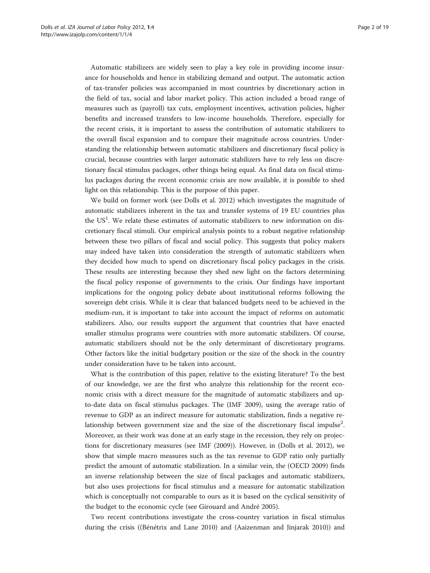Automatic stabilizers are widely seen to play a key role in providing income insurance for households and hence in stabilizing demand and output. The automatic action of tax-transfer policies was accompanied in most countries by discretionary action in the field of tax, social and labor market policy. This action included a broad range of measures such as (payroll) tax cuts, employment incentives, activation policies, higher benefits and increased transfers to low-income households. Therefore, especially for the recent crisis, it is important to assess the contribution of automatic stabilizers to the overall fiscal expansion and to compare their magnitude across countries. Understanding the relationship between automatic stabilizers and discretionary fiscal policy is crucial, because countries with larger automatic stabilizers have to rely less on discretionary fiscal stimulus packages, other things being equal. As final data on fiscal stimulus packages during the recent economic crisis are now available, it is possible to shed light on this relationship. This is the purpose of this paper.

We build on former work (see Dolls et al. [2012\)](#page-18-0) which investigates the magnitude of automatic stabilizers inherent in the tax and transfer systems of 19 EU countries plus the US<sup>1</sup>. We relate these estimates of automatic stabilizers to new information on discretionary fiscal stimuli. Our empirical analysis points to a robust negative relationship between these two pillars of fiscal and social policy. This suggests that policy makers may indeed have taken into consideration the strength of automatic stabilizers when they decided how much to spend on discretionary fiscal policy packages in the crisis. These results are interesting because they shed new light on the factors determining the fiscal policy response of governments to the crisis. Our findings have important implications for the ongoing policy debate about institutional reforms following the sovereign debt crisis. While it is clear that balanced budgets need to be achieved in the medium-run, it is important to take into account the impact of reforms on automatic stabilizers. Also, our results support the argument that countries that have enacted smaller stimulus programs were countries with more automatic stabilizers. Of course, automatic stabilizers should not be the only determinant of discretionary programs. Other factors like the initial budgetary position or the size of the shock in the country under consideration have to be taken into account.

What is the contribution of this paper, relative to the existing literature? To the best of our knowledge, we are the first who analyze this relationship for the recent economic crisis with a direct measure for the magnitude of automatic stabilizers and upto-date data on fiscal stimulus packages. The (IMF [2009\)](#page-18-0), using the average ratio of revenue to GDP as an indirect measure for automatic stabilization, finds a negative relationship between government size and the size of the discretionary fiscal impulse<sup>2</sup>. Moreover, as their work was done at an early stage in the recession, they rely on projections for discretionary measures (see IMF ([2009](#page-18-0))). However, in (Dolls et al. [2012](#page-18-0)), we show that simple macro measures such as the tax revenue to GDP ratio only partially predict the amount of automatic stabilization. In a similar vein, the (OECD [2009\)](#page-18-0) finds an inverse relationship between the size of fiscal packages and automatic stabilizers, but also uses projections for fiscal stimulus and a measure for automatic stabilization which is conceptually not comparable to ours as it is based on the cyclical sensitivity of the budget to the economic cycle (see Girouard and André [2005](#page-18-0)).

Two recent contributions investigate the cross-country variation in fiscal stimulus during the crisis ((Bénétrix and Lane [2010](#page-17-0)) and (Aaizenman and Jinjarak [2010](#page-17-0))) and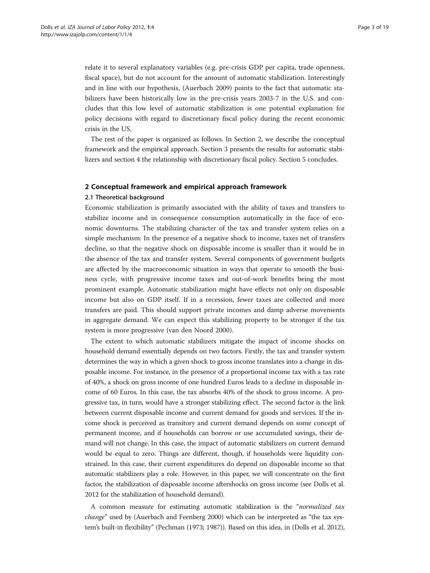relate it to several explanatory variables (e.g. pre-crisis GDP per capita, trade openness, fiscal space), but do not account for the amount of automatic stabilization. Interestingly and in line with our hypothesis, (Auerbach [2009](#page-17-0)) points to the fact that automatic stabilizers have been historically low in the pre-crisis years 2003-7 in the U.S. and concludes that this low level of automatic stabilization is one potential explanation for policy decisions with regard to discretionary fiscal policy during the recent economic crisis in the US.

The rest of the paper is organized as follows. In Section 2, we describe the conceptual framework and the empirical approach. Section 3 presents the results for automatic stabilizers and section 4 the relationship with discretionary fiscal policy. Section 5 concludes.

## 2 Conceptual framework and empirical approach framework

#### 2.1 Theoretical background

Economic stabilization is primarily associated with the ability of taxes and transfers to stabilize income and in consequence consumption automatically in the face of economic downturns. The stabilizing character of the tax and transfer system relies on a simple mechanism: In the presence of a negative shock to income, taxes net of transfers decline, so that the negative shock on disposable income is smaller than it would be in the absence of the tax and transfer system. Several components of government budgets are affected by the macroeconomic situation in ways that operate to smooth the business cycle, with progressive income taxes and out-of-work benefits being the most prominent example. Automatic stabilization might have effects not only on disposable income but also on GDP itself. If in a recession, fewer taxes are collected and more transfers are paid. This should support private incomes and damp adverse movements in aggregate demand. We can expect this stabilizing property to be stronger if the tax system is more progressive (van den Noord [2000](#page-18-0)).

The extent to which automatic stabilizers mitigate the impact of income shocks on household demand essentially depends on two factors. Firstly, the tax and transfer system determines the way in which a given shock to gross income translates into a change in disposable income. For instance, in the presence of a proportional income tax with a tax rate of 40%, a shock on gross income of one hundred Euros leads to a decline in disposable income of 60 Euros. In this case, the tax absorbs 40% of the shock to gross income. A progressive tax, in turn, would have a stronger stabilizing effect. The second factor is the link between current disposable income and current demand for goods and services. If the income shock is perceived as transitory and current demand depends on some concept of permanent income, and if households can borrow or use accumulated savings, their demand will not change. In this case, the impact of automatic stabilizers on current demand would be equal to zero. Things are different, though, if households were liquidity constrained. In this case, their current expenditures do depend on disposable income so that automatic stabilizers play a role. However, in this paper, we will concentrate on the first factor, the stabilization of disposable income aftershocks on gross income (see Dolls et al. [2012](#page-18-0) for the stabilization of household demand).

A common measure for estimating automatic stabilization is the "normalized tax change" used by (Auerbach and Feenberg [2000\)](#page-17-0) which can be interpreted as "the tax system's built-in flexibility" (Pechman ([1973; 1987](#page-18-0))). Based on this idea, in (Dolls et al. [2012](#page-18-0)),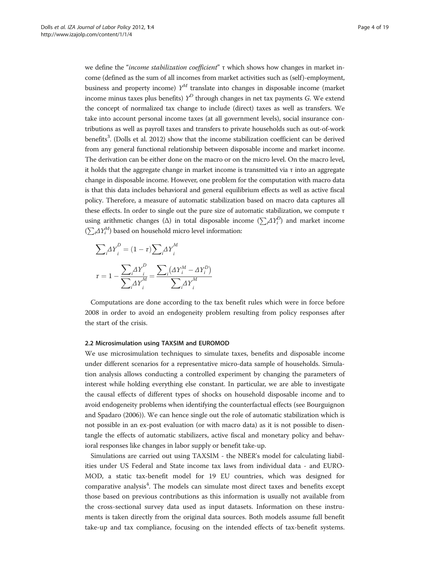we define the "income stabilization coefficient" τ which shows how changes in market income (defined as the sum of all incomes from market activities such as (self)-employment, business and property income)  $Y^M$  translate into changes in disposable income (market income minus taxes plus benefits)  $Y^D$  through changes in net tax payments G. We extend the concept of normalized tax change to include (direct) taxes as well as transfers. We take into account personal income taxes (at all government levels), social insurance contributions as well as payroll taxes and transfers to private households such as out-of-work benefits<sup>3</sup>. (Dolls et al. [2012](#page-18-0)) show that the income stabilization coefficient can be derived from any general functional relationship between disposable income and market income. The derivation can be either done on the macro or on the micro level. On the macro level, it holds that the aggregate change in market income is transmitted via  $\tau$  into an aggregate change in disposable income. However, one problem for the computation with macro data is that this data includes behavioral and general equilibrium effects as well as active fiscal policy. Therefore, a measure of automatic stabilization based on macro data captures all these effects. In order to single out the pure size of automatic stabilization, we compute τ using arithmetic changes ( $\Delta$ ) in total disposable income  $(\sum_i\!\Delta Y^D_i)$  and market income  $(\sum_i \Delta Y_i^M)$  based on household micro level information:

$$
\sum_{i} \Delta Y_i^D = (1 - \tau) \sum_{i} \Delta Y_i^M
$$

$$
\tau = 1 - \frac{\sum_{i} \Delta Y_i^D}{\sum_{i} \Delta Y_i^M} = \frac{\sum_{i} (\Delta Y_i^M - \Delta Y_i^D)}{\sum_{i} \Delta Y_i^M}
$$

Computations are done according to the tax benefit rules which were in force before 2008 in order to avoid an endogeneity problem resulting from policy responses after the start of the crisis.

#### 2.2 Microsimulation using TAXSIM and EUROMOD

We use microsimulation techniques to simulate taxes, benefits and disposable income under different scenarios for a representative micro-data sample of households. Simulation analysis allows conducting a controlled experiment by changing the parameters of interest while holding everything else constant. In particular, we are able to investigate the causal effects of different types of shocks on household disposable income and to avoid endogeneity problems when identifying the counterfactual effects (see Bourguignon and Spadaro ([2006](#page-18-0))). We can hence single out the role of automatic stabilization which is not possible in an ex-post evaluation (or with macro data) as it is not possible to disentangle the effects of automatic stabilizers, active fiscal and monetary policy and behavioral responses like changes in labor supply or benefit take-up.

Simulations are carried out using TAXSIM - the NBER's model for calculating liabilities under US Federal and State income tax laws from individual data - and EURO-MOD, a static tax-benefit model for 19 EU countries, which was designed for comparative analysis<sup>4</sup>. The models can simulate most direct taxes and benefits except those based on previous contributions as this information is usually not available from the cross-sectional survey data used as input datasets. Information on these instruments is taken directly from the original data sources. Both models assume full benefit take-up and tax compliance, focusing on the intended effects of tax-benefit systems.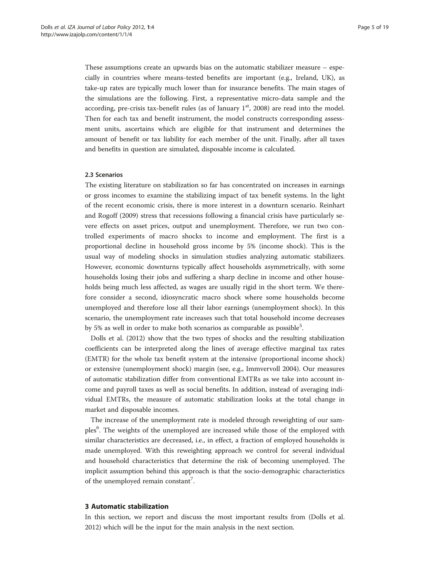These assumptions create an upwards bias on the automatic stabilizer measure – especially in countries where means-tested benefits are important (e.g., Ireland, UK), as take-up rates are typically much lower than for insurance benefits. The main stages of the simulations are the following. First, a representative micro-data sample and the according, pre-crisis tax-benefit rules (as of January  $1<sup>st</sup>$ , 2008) are read into the model. Then for each tax and benefit instrument, the model constructs corresponding assessment units, ascertains which are eligible for that instrument and determines the amount of benefit or tax liability for each member of the unit. Finally, after all taxes and benefits in question are simulated, disposable income is calculated.

# 2.3 Scenarios

The existing literature on stabilization so far has concentrated on increases in earnings or gross incomes to examine the stabilizing impact of tax benefit systems. In the light of the recent economic crisis, there is more interest in a downturn scenario. Reinhart and Rogoff ([2009\)](#page-18-0) stress that recessions following a financial crisis have particularly severe effects on asset prices, output and unemployment. Therefore, we run two controlled experiments of macro shocks to income and employment. The first is a proportional decline in household gross income by 5% (income shock). This is the usual way of modeling shocks in simulation studies analyzing automatic stabilizers. However, economic downturns typically affect households asymmetrically, with some households losing their jobs and suffering a sharp decline in income and other households being much less affected, as wages are usually rigid in the short term. We therefore consider a second, idiosyncratic macro shock where some households become unemployed and therefore lose all their labor earnings (unemployment shock). In this scenario, the unemployment rate increases such that total household income decreases by 5% as well in order to make both scenarios as comparable as possible<sup>5</sup>.

Dolls et al. [\(2012\)](#page-18-0) show that the two types of shocks and the resulting stabilization coefficients can be interpreted along the lines of average effective marginal tax rates (EMTR) for the whole tax benefit system at the intensive (proportional income shock) or extensive (unemployment shock) margin (see, e.g., Immvervoll [2004](#page-18-0)). Our measures of automatic stabilization differ from conventional EMTRs as we take into account income and payroll taxes as well as social benefits. In addition, instead of averaging individual EMTRs, the measure of automatic stabilization looks at the total change in market and disposable incomes.

The increase of the unemployment rate is modeled through reweighting of our samples<sup>6</sup>. The weights of the unemployed are increased while those of the employed with similar characteristics are decreased, i.e., in effect, a fraction of employed households is made unemployed. With this reweighting approach we control for several individual and household characteristics that determine the risk of becoming unemployed. The implicit assumption behind this approach is that the socio-demographic characteristics of the unemployed remain constant<sup>7</sup>.

## 3 Automatic stabilization

In this section, we report and discuss the most important results from (Dolls et al. [2012](#page-18-0)) which will be the input for the main analysis in the next section.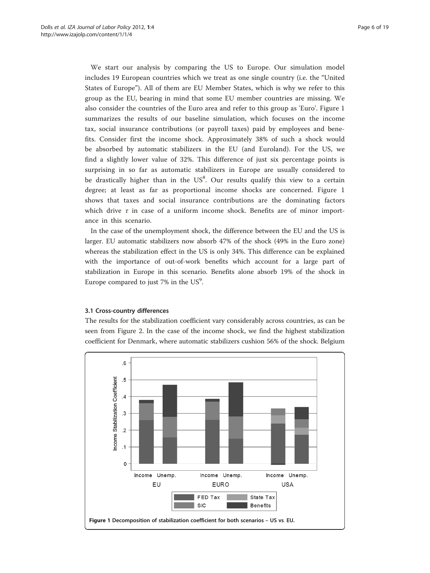We start our analysis by comparing the US to Europe. Our simulation model includes 19 European countries which we treat as one single country (i.e. the "United States of Europe"). All of them are EU Member States, which is why we refer to this group as the EU, bearing in mind that some EU member countries are missing. We also consider the countries of the Euro area and refer to this group as 'Euro'. Figure 1 summarizes the results of our baseline simulation, which focuses on the income tax, social insurance contributions (or payroll taxes) paid by employees and benefits. Consider first the income shock. Approximately 38% of such a shock would be absorbed by automatic stabilizers in the EU (and Euroland). For the US, we find a slightly lower value of 32%. This difference of just six percentage points is surprising in so far as automatic stabilizers in Europe are usually considered to be drastically higher than in the  $US^8$ . Our results qualify this view to a certain degree; at least as far as proportional income shocks are concerned. Figure 1 shows that taxes and social insurance contributions are the dominating factors which drive  $\tau$  in case of a uniform income shock. Benefits are of minor importance in this scenario.

In the case of the unemployment shock, the difference between the EU and the US is larger. EU automatic stabilizers now absorb 47% of the shock (49% in the Euro zone) whereas the stabilization effect in the US is only 34%. This difference can be explained with the importance of out-of-work benefits which account for a large part of stabilization in Europe in this scenario. Benefits alone absorb 19% of the shock in Europe compared to just 7% in the  $US^9$ .

# 3.1 Cross-country differences

The results for the stabilization coefficient vary considerably across countries, as can be seen from Figure 2. In the case of the income shock, we find the highest stabilization coefficient for Denmark, where automatic stabilizers cushion 56% of the shock. Belgium

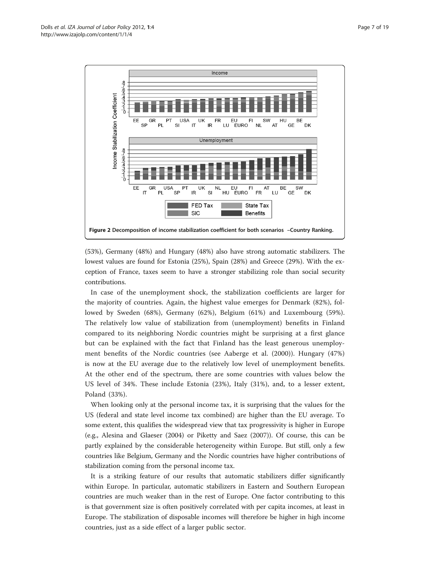

(53%), Germany (48%) and Hungary (48%) also have strong automatic stabilizers. The lowest values are found for Estonia (25%), Spain (28%) and Greece (29%). With the exception of France, taxes seem to have a stronger stabilizing role than social security contributions.

In case of the unemployment shock, the stabilization coefficients are larger for the majority of countries. Again, the highest value emerges for Denmark (82%), followed by Sweden (68%), Germany (62%), Belgium (61%) and Luxembourg (59%). The relatively low value of stabilization from (unemployment) benefits in Finland compared to its neighboring Nordic countries might be surprising at a first glance but can be explained with the fact that Finland has the least generous unemployment benefits of the Nordic countries (see Aaberge et al. ([2000\)](#page-17-0)). Hungary (47%) is now at the EU average due to the relatively low level of unemployment benefits. At the other end of the spectrum, there are some countries with values below the US level of 34%. These include Estonia (23%), Italy (31%), and, to a lesser extent, Poland (33%).

When looking only at the personal income tax, it is surprising that the values for the US (federal and state level income tax combined) are higher than the EU average. To some extent, this qualifies the widespread view that tax progressivity is higher in Europe (e.g., Alesina and Glaeser [\(2004\)](#page-17-0) or Piketty and Saez ([2007\)](#page-18-0)). Of course, this can be partly explained by the considerable heterogeneity within Europe. But still, only a few countries like Belgium, Germany and the Nordic countries have higher contributions of stabilization coming from the personal income tax.

It is a striking feature of our results that automatic stabilizers differ significantly within Europe. In particular, automatic stabilizers in Eastern and Southern European countries are much weaker than in the rest of Europe. One factor contributing to this is that government size is often positively correlated with per capita incomes, at least in Europe. The stabilization of disposable incomes will therefore be higher in high income countries, just as a side effect of a larger public sector.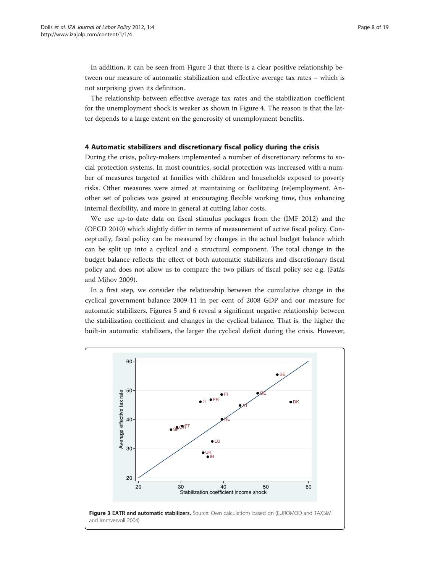In addition, it can be seen from Figure 3 that there is a clear positive relationship between our measure of automatic stabilization and effective average tax rates – which is not surprising given its definition.

The relationship between effective average tax rates and the stabilization coefficient for the unemployment shock is weaker as shown in Figure 4. The reason is that the latter depends to a large extent on the generosity of unemployment benefits.

# 4 Automatic stabilizers and discretionary fiscal policy during the crisis

During the crisis, policy-makers implemented a number of discretionary reforms to social protection systems. In most countries, social protection was increased with a number of measures targeted at families with children and households exposed to poverty risks. Other measures were aimed at maintaining or facilitating (re)employment. Another set of policies was geared at encouraging flexible working time, thus enhancing internal flexibility, and more in general at cutting labor costs.

We use up-to-date data on fiscal stimulus packages from the (IMF [2012\)](#page-18-0) and the (OECD [2010](#page-18-0)) which slightly differ in terms of measurement of active fiscal policy. Conceptually, fiscal policy can be measured by changes in the actual budget balance which can be split up into a cyclical and a structural component. The total change in the budget balance reflects the effect of both automatic stabilizers and discretionary fiscal policy and does not allow us to compare the two pillars of fiscal policy see e.g. (Fatás and Mihov [2009\)](#page-18-0).

In a first step, we consider the relationship between the cumulative change in the cyclical government balance 2009-11 in per cent of 2008 GDP and our measure for automatic stabilizers. Figures 5 and 6 reveal a significant negative relationship between the stabilization coefficient and changes in the cyclical balance. That is, the higher the built-in automatic stabilizers, the larger the cyclical deficit during the crisis. However,

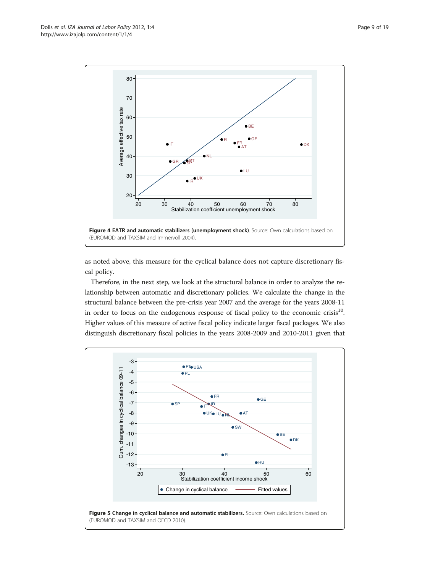

as noted above, this measure for the cyclical balance does not capture discretionary fiscal policy.

Therefore, in the next step, we look at the structural balance in order to analyze the relationship between automatic and discretionary policies. We calculate the change in the structural balance between the pre-crisis year 2007 and the average for the years 2008-11 in order to focus on the endogenous response of fiscal policy to the economic crisis $10$ . Higher values of this measure of active fiscal policy indicate larger fiscal packages. We also distinguish discretionary fiscal policies in the years 2008-2009 and 2010-2011 given that

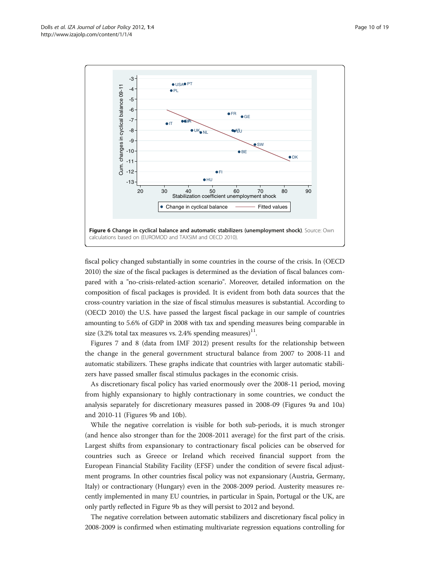

fiscal policy changed substantially in some countries in the course of the crisis. In (OECD [2010\)](#page-18-0) the size of the fiscal packages is determined as the deviation of fiscal balances compared with a "no-crisis-related-action scenario". Moreover, detailed information on the composition of fiscal packages is provided. It is evident from both data sources that the cross-country variation in the size of fiscal stimulus measures is substantial. According to (OECD [2010](#page-18-0)) the U.S. have passed the largest fiscal package in our sample of countries amounting to 5.6% of GDP in 2008 with tax and spending measures being comparable in size (3.2% total tax measures vs. 2.4% spending measures)<sup>11</sup>.

Figures 7 and 8 (data from IMF [2012](#page-18-0)) present results for the relationship between the change in the general government structural balance from 2007 to 2008-11 and automatic stabilizers. These graphs indicate that countries with larger automatic stabilizers have passed smaller fiscal stimulus packages in the economic crisis.

As discretionary fiscal policy has varied enormously over the 2008-11 period, moving from highly expansionary to highly contractionary in some countries, we conduct the analysis separately for discretionary measures passed in 2008-09 (Figures 9a and 10a) and 2010-11 (Figures 9b and 10b).

While the negative correlation is visible for both sub-periods, it is much stronger (and hence also stronger than for the 2008-2011 average) for the first part of the crisis. Largest shifts from expansionary to contractionary fiscal policies can be observed for countries such as Greece or Ireland which received financial support from the European Financial Stability Facility (EFSF) under the condition of severe fiscal adjustment programs. In other countries fiscal policy was not expansionary (Austria, Germany, Italy) or contractionary (Hungary) even in the 2008-2009 period. Austerity measures recently implemented in many EU countries, in particular in Spain, Portugal or the UK, are only partly reflected in Figure 9b as they will persist to 2012 and beyond.

The negative correlation between automatic stabilizers and discretionary fiscal policy in 2008-2009 is confirmed when estimating multivariate regression equations controlling for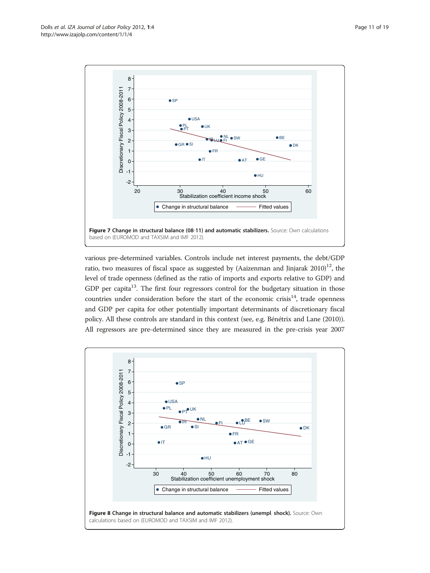

various pre-determined variables. Controls include net interest payments, the debt/GDP ratio, two measures of fiscal space as suggested by (Aaizenman and Jinjarak  $2010$ )<sup>12</sup>, the level of trade openness (defined as the ratio of imports and exports relative to GDP) and GDP per capita $^{13}$ . The first four regressors control for the budgetary situation in those countries under consideration before the start of the economic crisis $14$ , trade openness and GDP per capita for other potentially important determinants of discretionary fiscal policy. All these controls are standard in this context (see, e.g. Bénétrix and Lane [\(2010](#page-17-0))). All regressors are pre-determined since they are measured in the pre-crisis year 2007

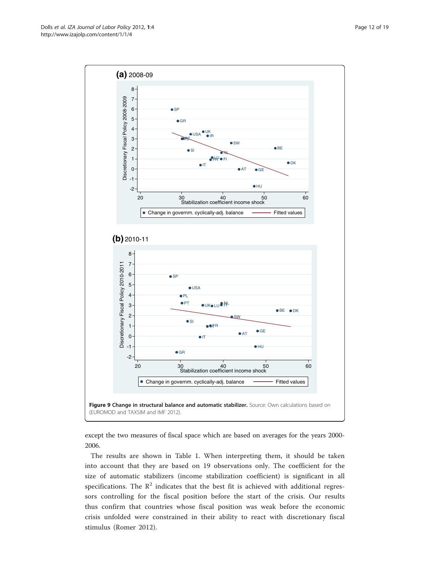

except the two measures of fiscal space which are based on averages for the years 2000- 2006.

The results are shown in Table [1](#page-13-0). When interpreting them, it should be taken into account that they are based on 19 observations only. The coefficient for the size of automatic stabilizers (income stabilization coefficient) is significant in all specifications. The  $\mathbb{R}^2$  indicates that the best fit is achieved with additional regressors controlling for the fiscal position before the start of the crisis. Our results thus confirm that countries whose fiscal position was weak before the economic crisis unfolded were constrained in their ability to react with discretionary fiscal stimulus (Romer [2012](#page-18-0)).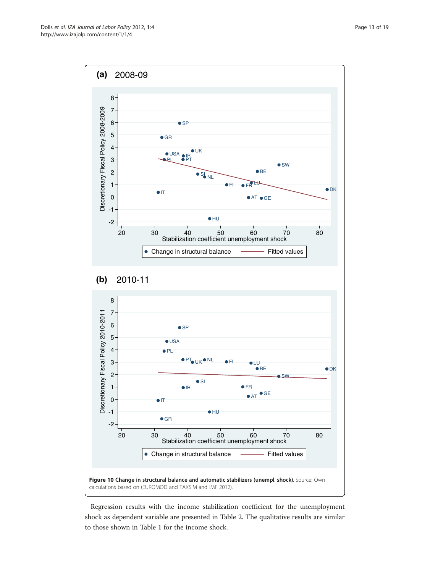

Regression results with the income stabilization coefficient for the unemployment shock as dependent variable are presented in Table [2](#page-14-0). The qualitative results are similar to those shown in Table [1](#page-13-0) for the income shock.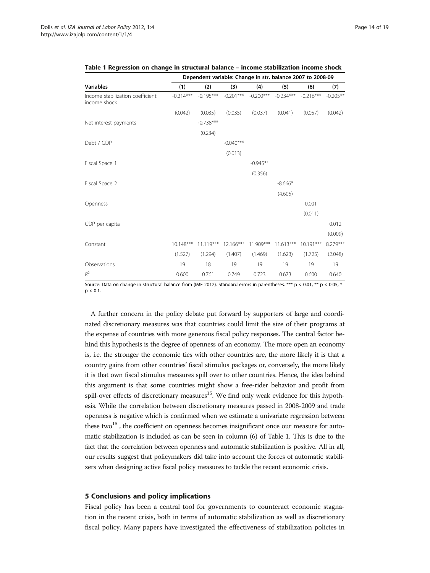|                                                  | Dependent variable: Change in str. balance 2007 to 2008-09 |             |             |             |             |             |            |  |  |
|--------------------------------------------------|------------------------------------------------------------|-------------|-------------|-------------|-------------|-------------|------------|--|--|
| <b>Variables</b>                                 | (1)                                                        | (2)         | (3)         | (4)         | (5)         | (6)         | (7)        |  |  |
| Income stabilization coefficient<br>income shock | $-0.214***$                                                | $-0.195***$ | $-0.201***$ | $-0.200***$ | $-0.234***$ | $-0.216***$ | $-0.205**$ |  |  |
|                                                  | (0.042)                                                    | (0.035)     | (0.035)     | (0.037)     | (0.041)     | (0.057)     | (0.042)    |  |  |
| Net interest payments                            |                                                            | $-0.738***$ |             |             |             |             |            |  |  |
|                                                  |                                                            | (0.234)     |             |             |             |             |            |  |  |
| Debt / GDP                                       |                                                            |             | $-0.040***$ |             |             |             |            |  |  |
|                                                  |                                                            |             | (0.013)     |             |             |             |            |  |  |
| Fiscal Space 1                                   |                                                            |             |             | $-0.945**$  |             |             |            |  |  |
|                                                  |                                                            |             |             | (0.356)     |             |             |            |  |  |
| Fiscal Space 2                                   |                                                            |             |             |             | $-8.666*$   |             |            |  |  |
|                                                  |                                                            |             |             |             | (4.605)     |             |            |  |  |
| Openness                                         |                                                            |             |             |             |             | 0.001       |            |  |  |
|                                                  |                                                            |             |             |             |             | (0.011)     |            |  |  |
| GDP per capita                                   |                                                            |             |             |             |             |             | 0.012      |  |  |
|                                                  |                                                            |             |             |             |             |             | (0.009)    |  |  |
| Constant                                         | $10.148***$                                                | $11.119***$ | 12.166***   | 11.909***   | $11.613***$ | $10.191***$ | 8.279***   |  |  |
|                                                  | (1.527)                                                    | (1.294)     | (1.407)     | (1.469)     | (1.623)     | (1.725)     | (2.048)    |  |  |
| Observations                                     | 19                                                         | 18          | 19          | 19          | 19          | 19          | 19         |  |  |
| $R^2$                                            | 0.600                                                      | 0.761       | 0.749       | 0.723       | 0.673       | 0.600       | 0.640      |  |  |

<span id="page-13-0"></span>

|  |  |  |  |  |  |  |  | Table 1 Regression on change in structural balance – income stabilization income shock |  |  |  |
|--|--|--|--|--|--|--|--|----------------------------------------------------------------------------------------|--|--|--|
|--|--|--|--|--|--|--|--|----------------------------------------------------------------------------------------|--|--|--|

Source: Data on change in structural balance from (IMF [2012](#page-18-0)). Standard errors in parentheses. \*\*\* p < 0.01, \*\* p < 0.05, \*  $p < 0.1$ .

A further concern in the policy debate put forward by supporters of large and coordinated discretionary measures was that countries could limit the size of their programs at the expense of countries with more generous fiscal policy responses. The central factor behind this hypothesis is the degree of openness of an economy. The more open an economy is, i.e. the stronger the economic ties with other countries are, the more likely it is that a country gains from other countries' fiscal stimulus packages or, conversely, the more likely it is that own fiscal stimulus measures spill over to other countries. Hence, the idea behind this argument is that some countries might show a free-rider behavior and profit from spill-over effects of discretionary measures<sup>15</sup>. We find only weak evidence for this hypothesis. While the correlation between discretionary measures passed in 2008-2009 and trade openness is negative which is confirmed when we estimate a univariate regression between these two $^{16}$ , the coefficient on openness becomes insignificant once our measure for automatic stabilization is included as can be seen in column (6) of Table 1. This is due to the fact that the correlation between openness and automatic stabilization is positive. All in all, our results suggest that policymakers did take into account the forces of automatic stabilizers when designing active fiscal policy measures to tackle the recent economic crisis.

#### 5 Conclusions and policy implications

Fiscal policy has been a central tool for governments to counteract economic stagnation in the recent crisis, both in terms of automatic stabilization as well as discretionary fiscal policy. Many papers have investigated the effectiveness of stabilization policies in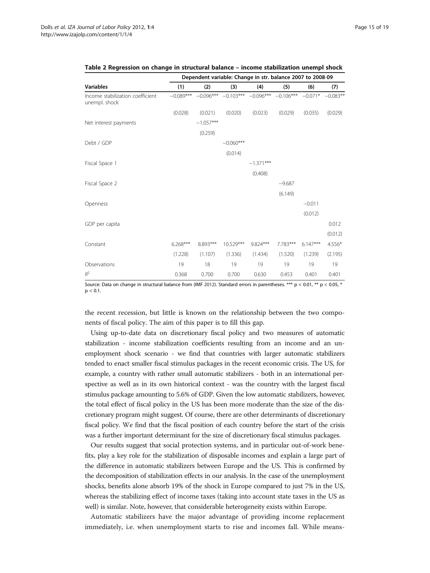|                                                   | Dependent variable: Change in str. balance 2007 to 2008-09 |             |             |                                     |          |            |                    |  |  |
|---------------------------------------------------|------------------------------------------------------------|-------------|-------------|-------------------------------------|----------|------------|--------------------|--|--|
| <b>Variables</b>                                  | (1)                                                        | (2)         | (3)         | (4)                                 | (5)      | (6)        | (7)                |  |  |
| Income stabilization coefficient<br>unempl. shock | $-0.089***$                                                | $-0.096***$ |             | $-0.103***$ $-0.096***$ $-0.106***$ |          |            | $-0.071* -0.083**$ |  |  |
|                                                   | (0.028)                                                    | (0.021)     | (0.020)     | (0.023)                             | (0.029)  | (0.035)    | (0.029)            |  |  |
| Net interest payments                             |                                                            | $-1.057***$ |             |                                     |          |            |                    |  |  |
|                                                   |                                                            | (0.259)     |             |                                     |          |            |                    |  |  |
| Debt / GDP                                        |                                                            |             | $-0.060***$ |                                     |          |            |                    |  |  |
|                                                   |                                                            |             | (0.014)     |                                     |          |            |                    |  |  |
| Fiscal Space 1                                    |                                                            |             |             | $-1.371***$                         |          |            |                    |  |  |
|                                                   |                                                            |             |             | (0.408)                             |          |            |                    |  |  |
| Fiscal Space 2                                    |                                                            |             |             |                                     | $-9.687$ |            |                    |  |  |
|                                                   |                                                            |             |             |                                     | (6.149)  |            |                    |  |  |
| Openness                                          |                                                            |             |             |                                     |          | $-0.011$   |                    |  |  |
|                                                   |                                                            |             |             |                                     |          | (0.012)    |                    |  |  |
| GDP per capita                                    |                                                            |             |             |                                     |          |            | 0.012              |  |  |
|                                                   |                                                            |             |             |                                     |          |            | (0.012)            |  |  |
| Constant                                          | $6.268***$                                                 | 8.893***    | 10.529***   | $9.824***$                          | 7.783*** | $6.147***$ | 4.556*             |  |  |
|                                                   | (1.228)                                                    | (1.107)     | (1.336)     | (1.434)                             | (1.520)  | (1.239)    | (2.195)            |  |  |
| Observations                                      | 19                                                         | 18          | 19          | 19                                  | 19       | 19         | 19                 |  |  |
| $R^2$                                             | 0.368                                                      | 0.700       | 0.700       | 0.630                               | 0.453    | 0.401      | 0.401              |  |  |

<span id="page-14-0"></span>Table 2 Regression on change in structural balance – income stabilization unempl shock

Source: Data on change in structural balance from (IMF [2012](#page-18-0)). Standard errors in parentheses. \*\*\* p < 0.01, \*\* p < 0.05, \*  $p < 0.1$ .

the recent recession, but little is known on the relationship between the two components of fiscal policy. The aim of this paper is to fill this gap.

Using up-to-date data on discretionary fiscal policy and two measures of automatic stabilization - income stabilization coefficients resulting from an income and an unemployment shock scenario - we find that countries with larger automatic stabilizers tended to enact smaller fiscal stimulus packages in the recent economic crisis. The US, for example, a country with rather small automatic stabilizers - both in an international perspective as well as in its own historical context - was the country with the largest fiscal stimulus package amounting to 5.6% of GDP. Given the low automatic stabilizers, however, the total effect of fiscal policy in the US has been more moderate than the size of the discretionary program might suggest. Of course, there are other determinants of discretionary fiscal policy. We find that the fiscal position of each country before the start of the crisis was a further important determinant for the size of discretionary fiscal stimulus packages.

Our results suggest that social protection systems, and in particular out-of-work benefits, play a key role for the stabilization of disposable incomes and explain a large part of the difference in automatic stabilizers between Europe and the US. This is confirmed by the decomposition of stabilization effects in our analysis. In the case of the unemployment shocks, benefits alone absorb 19% of the shock in Europe compared to just 7% in the US, whereas the stabilizing effect of income taxes (taking into account state taxes in the US as well) is similar. Note, however, that considerable heterogeneity exists within Europe.

Automatic stabilizers have the major advantage of providing income replacement immediately, i.e. when unemployment starts to rise and incomes fall. While means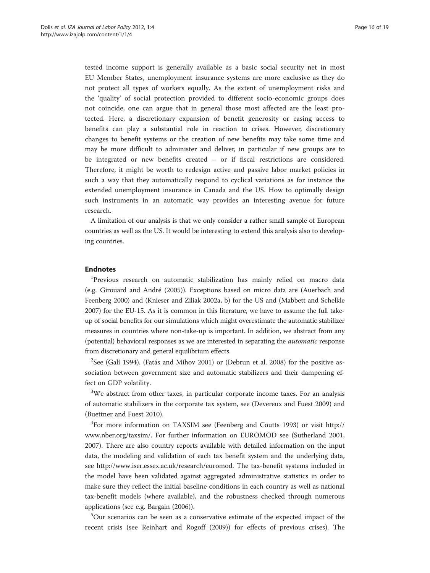tested income support is generally available as a basic social security net in most EU Member States, unemployment insurance systems are more exclusive as they do not protect all types of workers equally. As the extent of unemployment risks and the 'quality' of social protection provided to different socio-economic groups does not coincide, one can argue that in general those most affected are the least protected. Here, a discretionary expansion of benefit generosity or easing access to benefits can play a substantial role in reaction to crises. However, discretionary changes to benefit systems or the creation of new benefits may take some time and may be more difficult to administer and deliver, in particular if new groups are to be integrated or new benefits created – or if fiscal restrictions are considered. Therefore, it might be worth to redesign active and passive labor market policies in such a way that they automatically respond to cyclical variations as for instance the extended unemployment insurance in Canada and the US. How to optimally design such instruments in an automatic way provides an interesting avenue for future research.

A limitation of our analysis is that we only consider a rather small sample of European countries as well as the US. It would be interesting to extend this analysis also to developing countries.

## Endnotes

<sup>1</sup>Previous research on automatic stabilization has mainly relied on macro data (e.g. Girouard and André ([2005](#page-18-0))). Exceptions based on micro data are (Auerbach and Feenberg [2000\)](#page-17-0) and (Knieser and Ziliak [2002a](#page-18-0), b) for the US and (Mabbett and Schelkle [2007\)](#page-18-0) for the EU-15. As it is common in this literature, we have to assume the full takeup of social benefits for our simulations which might overestimate the automatic stabilizer measures in countries where non-take-up is important. In addition, we abstract from any (potential) behavioral responses as we are interested in separating the automatic response from discretionary and general equilibrium effects.

 $2$ See (Galí [1994\)](#page-18-0), (Fatás and Mihov [2001](#page-18-0)) or (Debrun et al. [2008](#page-18-0)) for the positive association between government size and automatic stabilizers and their dampening effect on GDP volatility.

 $3W$ e abstract from other taxes, in particular corporate income taxes. For an analysis of automatic stabilizers in the corporate tax system, see (Devereux and Fuest [2009](#page-18-0)) and (Buettner and Fuest [2010](#page-18-0)).

4 For more information on TAXSIM see (Feenberg and Coutts [1993\)](#page-18-0) or visit [http://](http://www.nber.org/taxsim/) [www.nber.org/taxsim/.](http://www.nber.org/taxsim/) For further information on EUROMOD see (Sutherland [2001](#page-18-0), [2007](#page-18-0)). There are also country reports available with detailed information on the input data, the modeling and validation of each tax benefit system and the underlying data, see<http://www.iser.essex.ac.uk/research/euromod>. The tax-benefit systems included in the model have been validated against aggregated administrative statistics in order to make sure they reflect the initial baseline conditions in each country as well as national tax-benefit models (where available), and the robustness checked through numerous applications (see e.g. Bargain ([2006](#page-17-0))).

<sup>5</sup>Our scenarios can be seen as a conservative estimate of the expected impact of the recent crisis (see Reinhart and Rogoff [\(2009\)](#page-18-0)) for effects of previous crises). The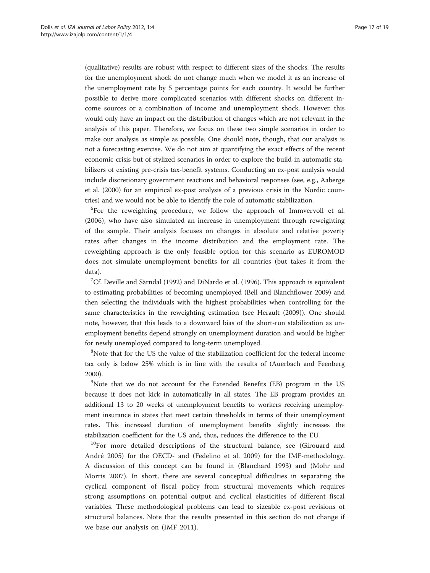(qualitative) results are robust with respect to different sizes of the shocks. The results for the unemployment shock do not change much when we model it as an increase of the unemployment rate by 5 percentage points for each country. It would be further possible to derive more complicated scenarios with different shocks on different income sources or a combination of income and unemployment shock. However, this would only have an impact on the distribution of changes which are not relevant in the analysis of this paper. Therefore, we focus on these two simple scenarios in order to make our analysis as simple as possible. One should note, though, that our analysis is not a forecasting exercise. We do not aim at quantifying the exact effects of the recent economic crisis but of stylized scenarios in order to explore the build-in automatic stabilizers of existing pre-crisis tax-benefit systems. Conducting an ex-post analysis would include discretionary government reactions and behavioral responses (see, e.g., Aaberge et al. ([2000\)](#page-17-0) for an empirical ex-post analysis of a previous crisis in the Nordic countries) and we would not be able to identify the role of automatic stabilization.

<sup>6</sup>For the reweighting procedure, we follow the approach of [Immvervoll et al.](#page-18-0) [\(2006\)](#page-18-0), who have also simulated an increase in unemployment through reweighting of the sample. Their analysis focuses on changes in absolute and relative poverty rates after changes in the income distribution and the employment rate. The reweighting approach is the only feasible option for this scenario as EUROMOD does not simulate unemployment benefits for all countries (but takes it from the data).

<sup>7</sup>Cf. Deville and Särndal ([1992](#page-18-0)) and DiNardo et al. [\(1996\)](#page-18-0). This approach is equivalent to estimating probabilities of becoming unemployed (Bell and Blanchflower [2009\)](#page-17-0) and then selecting the individuals with the highest probabilities when controlling for the same characteristics in the reweighting estimation (see Herault [\(2009\)](#page-18-0)). One should note, however, that this leads to a downward bias of the short-run stabilization as unemployment benefits depend strongly on unemployment duration and would be higher for newly unemployed compared to long-term unemployed.

<sup>8</sup>Note that for the US the value of the stabilization coefficient for the federal income tax only is below 25% which is in line with the results of (Auerbach and Feenberg [2000](#page-17-0)).

<sup>9</sup>Note that we do not account for the Extended Benefits (EB) program in the US because it does not kick in automatically in all states. The EB program provides an additional 13 to 20 weeks of unemployment benefits to workers receiving unemployment insurance in states that meet certain thresholds in terms of their unemployment rates. This increased duration of unemployment benefits slightly increases the stabilization coefficient for the US and, thus, reduces the difference to the EU.

<sup>10</sup>For more detailed descriptions of the structural balance, see (Girouard and André [2005\)](#page-18-0) for the OECD- and (Fedelino et al. [2009](#page-18-0)) for the IMF-methodology. A discussion of this concept can be found in (Blanchard [1993\)](#page-17-0) and (Mohr and Morris [2007](#page-18-0)). In short, there are several conceptual difficulties in separating the cyclical component of fiscal policy from structural movements which requires strong assumptions on potential output and cyclical elasticities of different fiscal variables. These methodological problems can lead to sizeable ex-post revisions of structural balances. Note that the results presented in this section do not change if we base our analysis on (IMF [2011](#page-18-0)).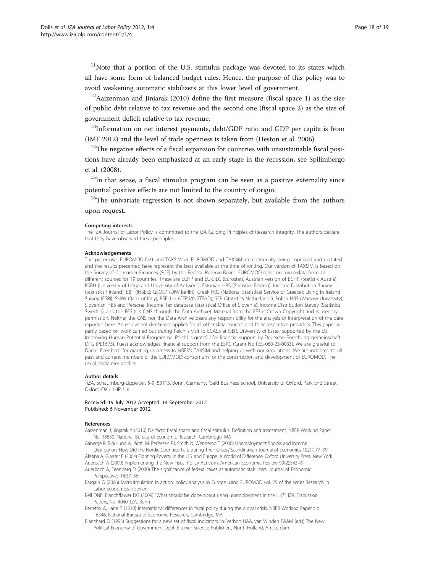<span id="page-17-0"></span> $11$ Note that a portion of the U.S. stimulus package was devoted to its states which all have some form of balanced budget rules. Hence, the purpose of this policy was to avoid weakening automatic stabilizers at this lower level of government.

<sup>12</sup>Aaizenman and Jinjarak (2010) define the first measure (fiscal space 1) as the size of public debt relative to tax revenue and the second one (fiscal space 2) as the size of government deficit relative to tax revenue.

 $13$ Information on net interest payments, debt/GDP ratio and GDP per capita is from (IMF [2012\)](#page-18-0) and the level of trade openness is taken from (Heston et al. [2006](#page-18-0)).

 $14$ <sup>14</sup>The negative effects of a fiscal expansion for countries with unsustainable fiscal positions have already been emphasized at an early stage in the recession, see Spilimbergo et al. ([2008](#page-18-0)).

<sup>15</sup>In that sense, a fiscal stimulus program can be seen as a positive externality since potential positive effects are not limited to the country of origin.

<sup>16</sup>The univariate regression is not shown separately, but available from the authors upon request.

#### Competing interests

The IZA Journal of Labor Policy is committed to the IZA Guiding Principles of Research Integrity. The authors declare that they have observed these principles.

#### Acknowledgements

This paper uses EUROMOD D21 and TAXSIM v9. EUROMOD and TAXSIM are continually being improved and updated and the results presented here represent the best available at the time of writing. Our version of TAXSIM is based on the Survey of Consumer Finances (SCF) by the Federal Reserve Board. EUROMOD relies on micro-data from 17 different sources for 19 countries. These are ECHP and EU-SILC (Eurostat), Austrian version of ECHP (Statistik Austria); PSBH (University of Liège and University of Antwerp); Estonian HBS (Statistics Estonia); Income Distribution Survey (Statistics Finland); EBF (INSEE); GSOEP (DIW Berlin); Greek HBS (National Statistical Service of Greece); Living in Ireland Survey (ESRI); SHIW (Bank of Italy); PSELL-2 (CEPS/INSTEAD); SEP (Statistics Netherlands); Polish HBS (Warsaw University); Slovenian HBS and Personal Income Tax database (Statistical Office of Slovenia); Income Distribution Survey (Statistics Sweden); and the FES (UK ONS through the Data Archive). Material from the FES is Crown Copyright and is used by permission. Neither the ONS nor the Data Archive bears any responsibility for the analysis or interpretation of the data reported here. An equivalent disclaimer applies for all other data sources and their respective providers. This paper is partly based on work carried out during Peichl's visit to ECASS at ISER, University of Essex, supported by the EU Improving Human Potential Programme. Peichl is grateful for financial support by Deutsche Forschungsgemeinschaft DFG (PE1675). Fuest acknowledges financial support from the ESRC (Grant No RES-060-25-0033). We are grateful to Daniel Feenberg for granting us access to NBER's TAXSIM and helping us with our simulations. We are indebted to all past and current members of the EUROMOD consortium for the construction and development of EUROMOD. The usual disclaimer applies.

#### Author details

<sup>1</sup>IZA, Schaumburg-Lippe-Str. 5-9, 53113, Bonn, Germany. <sup>2</sup>Saïd Business School, University of Oxford, Park End Street, Oxford OX1 1HP, UK.

Received: 19 July 2012 Accepted: 14 September 2012 Published: 6 November 2012

#### References

Aaizenman J, Jinjarak Y (2010) De facto fiscal space and fiscal stimulus: Definition and assessment, NBER Working Paper No. 16539. National Bureau of Economic Research, Cambridge, MA

Aaberge R, Björklund A, Jäntti M, Pedersen PJ, Smith N, Wennemo T (2000) Unemployment Shocks and Income Distribution: How Did the Nordic Countries Fare during Their Crises? Scandinavian Journal of Economics 102(1):77–99

Alesina A, Glaeser E (2004) Fighting Poverty in the U.S. and Europe: A World of Difference. Oxford University Press, New York Auerbach A (2009) Implementing the New Fiscal Policy Activism. American Economic Review 99(2):543.49

Auerbach A, Feenberg D (2000) The significance of federal taxes as automatic stabilizers. Journal of Economic Perspectives 14:37–56

Bargain O (2006) Microsimulation in action: policy analysis in Europe using EUROMOD vol. 25 of the series Research in Labor Economics. Elsevier

Bell DNF, Blanchflower DG (2009) "What should be done about rising unemployment in the UK?", IZA Discussion Papers, No. 4040. IZA, Bonn

Bénétrix A, Lane P (2010) International differences in fiscal policy during the global crisis, NBER Working Paper No. 16346. National Bureau of Economic Research, Cambridge, MA

Blanchard O (1993) Suggestions for a new set of fiscal indicators. In: Verbon HAA, van Winden FAAM (eds) The New Political Economy of Government Debt. Elsevier Science Publishers, North-Holland, Amsterdam